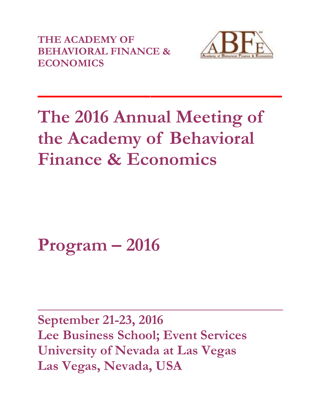**THE ACADEMY OF BEHAVIORAL FINANCE & ECONOMICS**



# **The 2016 Annual Meeting of the Academy of Behavioral Finance & Economics**

**\_\_\_\_\_\_\_\_\_\_\_\_\_\_\_\_\_\_\_\_\_\_\_\_\_\_**

**Program – 2016** 

**September 21-23, 2016 Lee Business School; Event Services University of Nevada at Las Vegas Las Vegas, Nevada, USA**

**\_\_\_\_\_\_\_\_\_\_\_\_\_\_\_\_\_\_\_\_\_\_\_\_\_\_\_\_\_\_\_\_\_\_\_\_\_\_\_**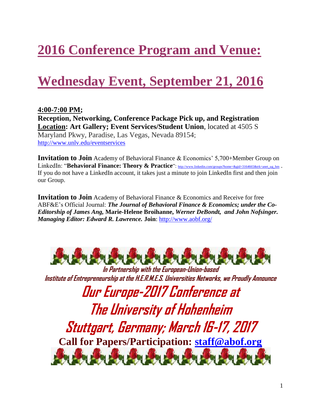## **2016 Conference Program and Venue:**

### **Wednesday Event, September 21, 2016**

**4:00-7:00 PM; Reception, Networking, Conference Package Pick up, and Registration Location: Art Gallery; Event Services/Student Union**, located at 4505 S Maryland Pkwy, Paradise, Las Vegas, Nevada 89154; <http://www.unlv.edu/eventservices>

**Invitation to Join** Academy of Behavioral Finance & Economics' 5,700+Member Group on LinkedIn: "**Behavioral Finance: Theory & Practice**": [http://www.linkedin.com/groups?home=&gid=3164665&trk=anet\\_ug\\_hm](http://www.linkedin.com/groups?home=&gid=3164665&trk=anet_ug_hm) . If you do not have a LinkedIn account, it takes just a minute to join LinkedIn first and then join our Group.

**Invitation to Join** Academy of Behavioral Finance & Economics and Receive for free ABF&E's Official Journal: *The Journal of Behavioral Finance & Economics; under the Co-Editorship of James Ang,* **Marie-Helene Broihanne,** *Werner DeBondt, and John Nofsinger. Managing Editor: Edward R. Lawrence.* **Join**:<http://www.aobf.org/>



**In Partnership with the European-Union-based Institute of Entrepreneurship at the H.E.R.M.E.S. Universities Networks, we Proudly Announce**

**Our Europe-2017 Conference at The University of Hohenheim Stuttgart, Germany; March 16-17, 2017 Call for Papers/Participation: [staff@abof.org](mailto:staff@abof.org)**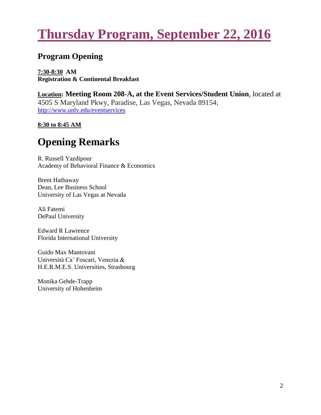### **Thursday Program, September 22, 2016**

### **Program Opening**

**7:30-8:30 AM Registration & Continental Breakfast**

**Location: Meeting Room 208-A, at the Event Services/Student Union**, located at 4505 S Maryland Pkwy, Paradise, Las Vegas, Nevada 89154; <http://www.unlv.edu/eventservices>

**8:30 to 8:45 AM**

### **Opening Remarks**

R. Russell Yazdipour Academy of Behavioral Finance & Economics

Brent Hathaway Dean, Lee Business School University of Las Vegas at Nevada

Ali Fatemi DePaul University

Edward R Lawrence Florida International University

Guido Max Mantovani Università Ca' Foscari, Venezia & H.E.R.M.E.S. Universities, Strasbourg

Monika Gehde-Trapp University of Hohenheim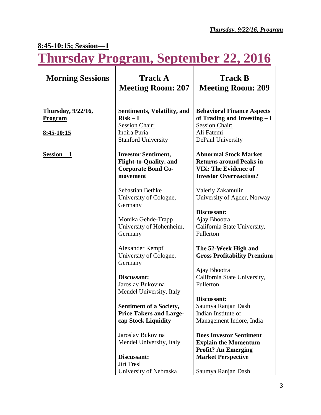### **8:45-10:15; Session—1**

**Thursday Program, September 22, 2016**

| <b>Morning Sessions</b>                     | <b>Track A</b><br><b>Meeting Room: 207</b>                                                           | <b>Track B</b><br><b>Meeting Room: 209</b>                                                                                     |
|---------------------------------------------|------------------------------------------------------------------------------------------------------|--------------------------------------------------------------------------------------------------------------------------------|
| <u>Thursday, 9/22/16,</u><br><u>Program</u> | <b>Sentiments, Volatility, and</b><br>$Risk - I$<br>Session Chair:                                   | <b>Behavioral Finance Aspects</b><br>of Trading and Investing - I<br><b>Session Chair:</b>                                     |
| <u>8:45-10:15</u>                           | Indira Puria<br><b>Stanford University</b>                                                           | Ali Fatemi<br>DePaul University                                                                                                |
| Session-1                                   | <b>Investor Sentiment,</b><br><b>Flight-to-Quality, and</b><br><b>Corporate Bond Co-</b><br>movement | <b>Abnormal Stock Market</b><br><b>Returns around Peaks in</b><br><b>VIX: The Evidence of</b><br><b>Investor Overreaction?</b> |
|                                             | Sebastian Bethke<br>University of Cologne,<br>Germany                                                | Valeriy Zakamulin<br>University of Agder, Norway                                                                               |
|                                             | Monika Gehde-Trapp<br>University of Hohenheim,<br>Germany                                            | Discussant:<br>Ajay Bhootra<br>California State University,<br>Fullerton                                                       |
|                                             | Alexander Kempf<br>University of Cologne,                                                            | The 52-Week High and<br><b>Gross Profitability Premium</b>                                                                     |
|                                             | Discussant:<br>Jaroslav Bukovina                                                                     | Ajay Bhootra<br>California State University,<br>Fullerton                                                                      |
|                                             | <b>Sentiment of a Society,</b><br><b>Price Takers and Large-</b><br>cap Stock Liquidity              | Discussant:<br>Saumya Ranjan Dash<br>Indian Institute of<br>Management Indore, India                                           |
|                                             | Jaroslav Bukovina<br>Mendel University, Italy                                                        | <b>Does Investor Sentiment</b><br><b>Explain the Momentum</b>                                                                  |
|                                             | Discussant:<br>Jiri Tresl                                                                            | <b>Market Perspective</b>                                                                                                      |
|                                             | Germany<br>Mendel University, Italy<br>University of Nebraska                                        | <b>Profit? An Emerging</b><br>Saumya Ranjan Dash                                                                               |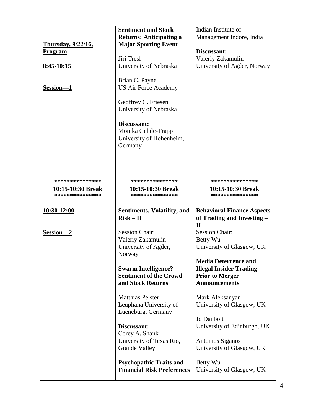|                                            | <b>Sentiment and Stock</b>                                  | Indian Institute of                            |
|--------------------------------------------|-------------------------------------------------------------|------------------------------------------------|
|                                            | <b>Returns: Anticipating a</b>                              | Management Indore, India                       |
| Thursday, 9/22/16,                         | <b>Major Sporting Event</b>                                 |                                                |
| <b>Program</b>                             |                                                             | Discussant:                                    |
|                                            | Jiri Tresl                                                  | Valeriy Zakamulin                              |
| 8:45-10:15                                 | University of Nebraska                                      | University of Agder, Norway                    |
|                                            |                                                             |                                                |
|                                            | Brian C. Payne                                              |                                                |
| Session-1                                  | <b>US Air Force Academy</b>                                 |                                                |
|                                            |                                                             |                                                |
|                                            | Geoffrey C. Friesen                                         |                                                |
|                                            | University of Nebraska                                      |                                                |
|                                            |                                                             |                                                |
|                                            | Discussant:                                                 |                                                |
|                                            | Monika Gehde-Trapp                                          |                                                |
|                                            | University of Hohenheim,                                    |                                                |
|                                            | Germany                                                     |                                                |
|                                            |                                                             |                                                |
|                                            |                                                             |                                                |
|                                            |                                                             |                                                |
| ***************                            | ***************                                             | ***************                                |
|                                            |                                                             |                                                |
| <u>10:15-10:30 Break</u><br>************** | <u>10:15-10:30 Break</u><br>***************                 | 10:15-10:30 Break<br>***************           |
|                                            |                                                             |                                                |
|                                            |                                                             |                                                |
|                                            |                                                             |                                                |
| 10:30-12:00                                | Sentiments, Volatility, and                                 | <b>Behavioral Finance Aspects</b>              |
|                                            | $Risk - II$                                                 | of Trading and Investing -                     |
|                                            |                                                             | $\mathbf{I}$                                   |
| Session-2                                  | <b>Session Chair:</b>                                       | <b>Session Chair:</b>                          |
|                                            | Valeriy Zakamulin                                           | Betty Wu                                       |
|                                            | University of Agder,                                        | University of Glasgow, UK                      |
|                                            | Norway                                                      | <b>Media Deterrence and</b>                    |
|                                            |                                                             |                                                |
|                                            | <b>Swarm Intelligence?</b><br><b>Sentiment of the Crowd</b> | <b>Illegal Insider Trading</b>                 |
|                                            | and Stock Returns                                           | <b>Prior to Merger</b><br><b>Announcements</b> |
|                                            |                                                             |                                                |
|                                            | <b>Matthias Pelster</b>                                     | Mark Aleksanyan                                |
|                                            | Leuphana University of                                      | University of Glasgow, UK                      |
|                                            | Lueneburg, Germany                                          |                                                |
|                                            |                                                             | Jo Danbolt                                     |
|                                            | Discussant:                                                 | University of Edinburgh, UK                    |
|                                            | Corey A. Shank                                              |                                                |
|                                            | University of Texas Rio,                                    | Antonios Siganos                               |
|                                            | <b>Grande Valley</b>                                        | University of Glasgow, UK                      |
|                                            |                                                             |                                                |
|                                            | <b>Psychopathic Traits and</b>                              | Betty Wu                                       |
|                                            | <b>Financial Risk Preferences</b>                           | University of Glasgow, UK                      |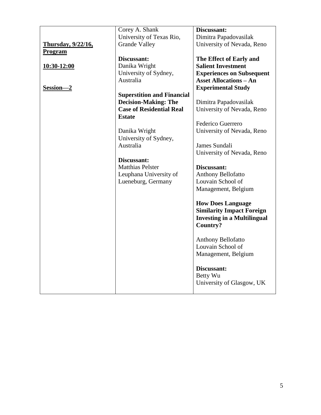|                            | Corey A. Shank                    | Discussant:                        |
|----------------------------|-----------------------------------|------------------------------------|
|                            | University of Texas Rio,          | Dimitra Papadovasilak              |
| <b>Thursday</b> , 9/22/16, | <b>Grande Valley</b>              | University of Nevada, Reno         |
| <b>Program</b>             |                                   |                                    |
|                            | Discussant:                       | The Effect of Early and            |
| <u>10:30-12:00</u>         | Danika Wright                     | <b>Salient Investment</b>          |
|                            | University of Sydney,             | <b>Experiences on Subsequent</b>   |
|                            | Australia                         | <b>Asset Allocations - An</b>      |
| Session-2                  |                                   | <b>Experimental Study</b>          |
|                            | <b>Superstition and Financial</b> |                                    |
|                            | <b>Decision-Making: The</b>       | Dimitra Papadovasilak              |
|                            | <b>Case of Residential Real</b>   | University of Nevada, Reno         |
|                            | <b>Estate</b>                     |                                    |
|                            |                                   | Federico Guerrero                  |
|                            | Danika Wright                     | University of Nevada, Reno         |
|                            | University of Sydney,             |                                    |
|                            | Australia                         | James Sundali                      |
|                            |                                   | University of Nevada, Reno         |
|                            | Discussant:                       |                                    |
|                            | <b>Matthias Pelster</b>           | Discussant:                        |
|                            | Leuphana University of            | <b>Anthony Bellofatto</b>          |
|                            | Lueneburg, Germany                | Louvain School of                  |
|                            |                                   | Management, Belgium                |
|                            |                                   |                                    |
|                            |                                   | <b>How Does Language</b>           |
|                            |                                   | <b>Similarity Impact Foreign</b>   |
|                            |                                   | <b>Investing in a Multilingual</b> |
|                            |                                   | Country?                           |
|                            |                                   | Anthony Bellofatto                 |
|                            |                                   | Louvain School of                  |
|                            |                                   | Management, Belgium                |
|                            |                                   |                                    |
|                            |                                   | Discussant:                        |
|                            |                                   | Betty Wu                           |
|                            |                                   | University of Glasgow, UK          |
|                            |                                   |                                    |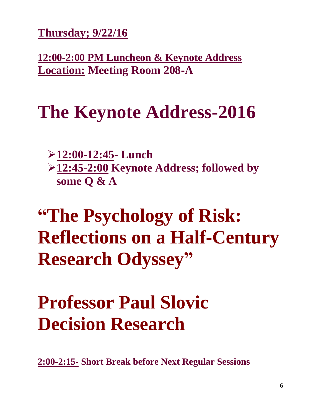**Thursday; 9/22/16**

**12:00-2:00 PM Luncheon & Keynote Address Location: Meeting Room 208-A**

## **The Keynote Address-2016**

**12:00-12:45- Lunch**

**12:45-2:00 Keynote Address; followed by some Q & A**

**"The Psychology of Risk: Reflections on a Half-Century Research Odyssey"**

# **Professor Paul Slovic Decision Research**

**2:00-2:15- Short Break before Next Regular Sessions**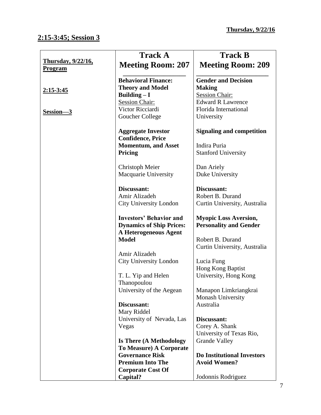### **2:15-3:45; Session 3**

|                                              | <b>Track A</b>                                                                             | <b>Track B</b>                                                       |
|----------------------------------------------|--------------------------------------------------------------------------------------------|----------------------------------------------------------------------|
| <b>Thursday</b> , 9/22/16,<br><b>Program</b> | <b>Meeting Room: 207</b>                                                                   | <b>Meeting Room: 209</b>                                             |
| <u>2:15-3:45</u>                             | <b>Behavioral Finance:</b><br><b>Theory and Model</b><br>Building $-I$                     | <b>Gender and Decision</b><br><b>Making</b><br><b>Session Chair:</b> |
| Session-3                                    | <b>Session Chair:</b><br>Victor Ricciardi<br>Goucher College                               | <b>Edward R Lawrence</b><br>Florida International<br>University      |
|                                              | <b>Aggregate Investor</b><br><b>Confidence, Price</b><br><b>Momentum, and Asset</b>        | <b>Signaling and competition</b><br>Indira Puria                     |
|                                              | Pricing                                                                                    | <b>Stanford University</b>                                           |
|                                              | Christoph Meier<br>Macquarie University                                                    | Dan Ariely<br>Duke University                                        |
|                                              | Discussant:<br>Amir Alizadeh                                                               | Discussant:<br>Robert B. Durand                                      |
|                                              | <b>City University London</b>                                                              | Curtin University, Australia                                         |
|                                              | <b>Investors' Behavior and</b><br><b>Dynamics of Ship Prices:</b><br>A Heterogeneous Agent | <b>Myopic Loss Aversion,</b><br><b>Personality and Gender</b>        |
|                                              | <b>Model</b>                                                                               | Robert B. Durand<br>Curtin University, Australia                     |
|                                              | Amir Alizadeh<br><b>City University London</b>                                             | Lucia Fung<br>Hong Kong Baptist                                      |
|                                              | T. L. Yip and Helen<br>Thanopoulou                                                         | University, Hong Kong                                                |
|                                              | University of the Aegean                                                                   | Manapon Limkriangkrai<br>Monash University                           |
|                                              | Discussant:<br>Mary Riddel                                                                 | Australia                                                            |
|                                              | University of Nevada, Las<br>Vegas                                                         | Discussant:<br>Corey A. Shank<br>University of Texas Rio,            |
|                                              | <b>Is There (A Methodology</b><br>To Measure) A Corporate                                  | <b>Grande Valley</b>                                                 |
|                                              | <b>Governance Risk</b><br><b>Premium Into The</b>                                          | <b>Do Institutional Investors</b><br><b>Avoid Women?</b>             |
|                                              | <b>Corporate Cost Of</b><br>Capital?                                                       | Jodonnis Rodriguez                                                   |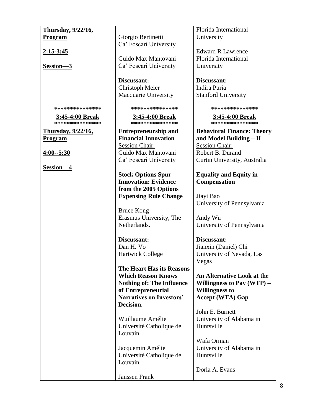| Thursday, 9/22/16,        |                                  | Florida International             |
|---------------------------|----------------------------------|-----------------------------------|
| <b>Program</b>            | Giorgio Bertinetti               | University                        |
|                           | Ca' Foscari University           |                                   |
| <u>2:15-3:45</u>          |                                  | <b>Edward R Lawrence</b>          |
|                           | Guido Max Mantovani              | Florida International             |
|                           |                                  |                                   |
| Session-3                 | Ca' Foscari University           | University                        |
|                           |                                  |                                   |
|                           | Discussant:                      | Discussant:                       |
|                           | <b>Christoph Meier</b>           | Indira Puria                      |
|                           | Macquarie University             | <b>Stanford University</b>        |
|                           |                                  |                                   |
| ***************           | ***************                  | ***************                   |
| <u>3:45-4:00 Break</u>    | <u>3:45-4:00 Break</u>           | <u>3:45-4:00 Break</u>            |
| ***************           | ***************                  | ***************                   |
| <u>Thursday, 9/22/16,</u> | <b>Entrepreneurship and</b>      | <b>Behavioral Finance: Theory</b> |
|                           | <b>Financial Innovation</b>      | and Model Building - II           |
| <b>Program</b>            |                                  |                                   |
|                           | <b>Session Chair:</b>            | <b>Session Chair:</b>             |
| $4:00 - 5:30$             | Guido Max Mantovani              | Robert B. Durand                  |
|                           | Ca' Foscari University           | Curtin University, Australia      |
| Session-4                 |                                  |                                   |
|                           | <b>Stock Options Spur</b>        | <b>Equality and Equity in</b>     |
|                           | <b>Innovation: Evidence</b>      | <b>Compensation</b>               |
|                           | from the 2005 Options            |                                   |
|                           | <b>Expensing Rule Change</b>     | Jiayi Bao                         |
|                           |                                  | University of Pennsylvania        |
|                           |                                  |                                   |
|                           | <b>Bruce Kong</b>                |                                   |
|                           | Erasmus University, The          | Andy Wu                           |
|                           | Netherlands.                     | University of Pennsylvania        |
|                           |                                  |                                   |
|                           | Discussant:                      | Discussant:                       |
|                           | Dan H. Vo                        | Jianxin (Daniel) Chi              |
|                           | <b>Hartwick College</b>          | University of Nevada, Las         |
|                           |                                  | Vegas                             |
|                           | The Heart Has its Reasons        |                                   |
|                           | <b>Which Reason Knows</b>        | An Alternative Look at the        |
|                           | <b>Nothing of: The Influence</b> | Willingness to Pay $(WTP)$ –      |
|                           |                                  |                                   |
|                           | of Entrepreneurial               | <b>Willingness to</b>             |
|                           | <b>Narratives on Investors'</b>  | <b>Accept (WTA) Gap</b>           |
|                           | Decision.                        |                                   |
|                           |                                  | John E. Burnett                   |
|                           | Wuillaume Amélie                 | University of Alabama in          |
|                           | Université Catholique de         | Huntsville                        |
|                           | Louvain                          |                                   |
|                           |                                  | Wafa Orman                        |
|                           | Jacquemin Amélie                 | University of Alabama in          |
|                           | Université Catholique de         | Huntsville                        |
|                           | Louvain                          |                                   |
|                           |                                  |                                   |
|                           |                                  | Dorla A. Evans                    |
|                           | Janssen Frank                    |                                   |

 $\mathsf{l}$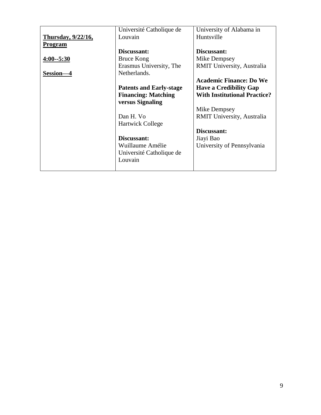| Université Catholique de | University of Alabama in                                                                                     |
|--------------------------|--------------------------------------------------------------------------------------------------------------|
| Louvain                  | Huntsville                                                                                                   |
|                          |                                                                                                              |
| Discussant:              | Discussant:                                                                                                  |
| Bruce Kong               | Mike Dempsey                                                                                                 |
| Erasmus University, The  | <b>RMIT University, Australia</b>                                                                            |
| Netherlands.             |                                                                                                              |
|                          | <b>Academic Finance: Do We</b>                                                                               |
|                          | <b>Have a Credibility Gap</b>                                                                                |
|                          | <b>With Institutional Practice?</b>                                                                          |
|                          |                                                                                                              |
|                          | Mike Dempsey                                                                                                 |
| Dan H. Vo                | <b>RMIT University, Australia</b>                                                                            |
| <b>Hartwick College</b>  |                                                                                                              |
|                          | Discussant:                                                                                                  |
| Discussant:              | Jiayi Bao                                                                                                    |
| Wuillaume Amélie         | University of Pennsylvania                                                                                   |
|                          |                                                                                                              |
| Louvain                  |                                                                                                              |
|                          |                                                                                                              |
|                          | <b>Patents and Early-stage</b><br><b>Financing: Matching</b><br>versus Signaling<br>Université Catholique de |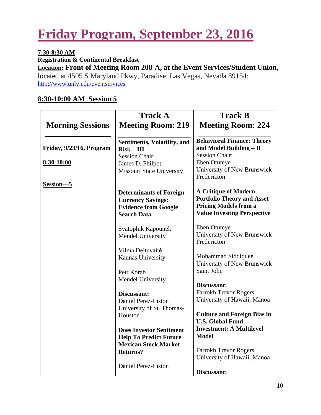### **Friday Program, September 23, 2016**

#### **7:30-8:30 AM Registration & Continental Breakfast Location: Front of Meeting Room 208-A, at the Event Services/Student Union**, located at 4505 S Maryland Pkwy, Paradise, Las Vegas, Nevada 89154; <http://www.unlv.edu/eventservices>

#### **8:30-10:00 AM Session 5**

|                          | <b>Track A</b>                                                                                                  | <b>Track B</b>                                                                                                                         |
|--------------------------|-----------------------------------------------------------------------------------------------------------------|----------------------------------------------------------------------------------------------------------------------------------------|
| <b>Morning Sessions</b>  | <b>Meeting Room: 219</b>                                                                                        | <b>Meeting Room: 224</b>                                                                                                               |
| Friday, 9/23/16, Program | <b>Sentiments, Volatility, and</b><br>$Risk - III$                                                              | <b>Behavioral Finance: Theory</b><br>and Model Building - II                                                                           |
|                          | <b>Session Chair:</b>                                                                                           | <b>Session Chair:</b>                                                                                                                  |
| 8:30-10:00               | James D. Philpot                                                                                                | Eben Otuteye                                                                                                                           |
|                          | <b>Missouri State University</b>                                                                                | University of New Brunswick<br>Fredericton                                                                                             |
| Session-5                |                                                                                                                 |                                                                                                                                        |
|                          | <b>Determinants of Foreign</b><br><b>Currency Savings:</b><br><b>Evidence from Google</b><br><b>Search Data</b> | <b>A Critique of Modern</b><br><b>Portfolio Theory and Asset</b><br><b>Pricing Models from a</b><br><b>Value Investing Perspective</b> |
|                          | Svatopluk Kapounek<br>Mendel University                                                                         | Eben Otuteye<br>University of New Brunswick<br>Fredericton                                                                             |
|                          | Vilma Deltuvaitė                                                                                                |                                                                                                                                        |
|                          | Kaunas University                                                                                               | Mohammad Siddiquee<br>University of New Brunswick                                                                                      |
|                          | Petr Koráb                                                                                                      | Saint John                                                                                                                             |
|                          | Mendel University                                                                                               |                                                                                                                                        |
|                          |                                                                                                                 | Discussant:                                                                                                                            |
|                          | Discussant:                                                                                                     | <b>Farrokh Trevor Rogers</b>                                                                                                           |
|                          | Daniel Perez-Liston                                                                                             | University of Hawaii, Manoa                                                                                                            |
|                          | University of St. Thomas-                                                                                       | <b>Culture and Foreign Bias in</b>                                                                                                     |
|                          | Houston                                                                                                         | <b>U.S. Global Fund</b>                                                                                                                |
|                          | <b>Does Investor Sentiment</b>                                                                                  | <b>Investment: A Multilevel</b>                                                                                                        |
|                          | <b>Help To Predict Future</b>                                                                                   | <b>Model</b>                                                                                                                           |
|                          | <b>Mexican Stock Market</b>                                                                                     |                                                                                                                                        |
|                          | <b>Returns?</b>                                                                                                 | <b>Farrokh Trevor Rogers</b>                                                                                                           |
|                          |                                                                                                                 | University of Hawaii, Manoa                                                                                                            |
|                          | Daniel Perez-Liston                                                                                             | Discussant:                                                                                                                            |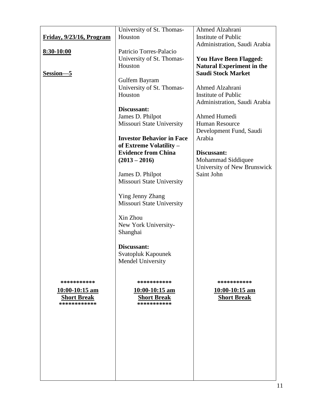|                                    | University of St. Thomas-                             | Ahmed Alzahrani                  |
|------------------------------------|-------------------------------------------------------|----------------------------------|
| Friday, 9/23/16, Program           | Houston                                               | Institute of Public              |
|                                    |                                                       | Administration, Saudi Arabia     |
| <u>8:30-10:00</u>                  | Patricio Torres-Palacio                               |                                  |
|                                    | University of St. Thomas-                             | <b>You Have Been Flagged:</b>    |
|                                    | Houston                                               | <b>Natural Experiment in the</b> |
| Session-5                          |                                                       | <b>Saudi Stock Market</b>        |
|                                    | Gulfem Bayram                                         |                                  |
|                                    | University of St. Thomas-                             | Ahmed Alzahrani                  |
|                                    | Houston                                               | Institute of Public              |
|                                    |                                                       | Administration, Saudi Arabia     |
|                                    | Discussant:                                           |                                  |
|                                    | James D. Philpot                                      | Ahmed Humedi                     |
|                                    | Missouri State University                             | <b>Human Resource</b>            |
|                                    |                                                       | Development Fund, Saudi          |
|                                    | <b>Investor Behavior in Face</b>                      | Arabia                           |
|                                    | of Extreme Volatility -<br><b>Evidence from China</b> | Discussant:                      |
|                                    | $(2013 - 2016)$                                       | Mohammad Siddiquee               |
|                                    |                                                       | University of New Brunswick      |
|                                    | James D. Philpot                                      | Saint John                       |
|                                    | <b>Missouri State University</b>                      |                                  |
|                                    |                                                       |                                  |
|                                    | Ying Jenny Zhang                                      |                                  |
|                                    | Missouri State University                             |                                  |
|                                    |                                                       |                                  |
|                                    | Xin Zhou                                              |                                  |
|                                    | New York University-                                  |                                  |
|                                    | Shanghai                                              |                                  |
|                                    |                                                       |                                  |
|                                    | Discussant:                                           |                                  |
|                                    | Svatopluk Kapounek                                    |                                  |
|                                    | Mendel University                                     |                                  |
|                                    |                                                       |                                  |
|                                    |                                                       |                                  |
| ***********                        | ***********                                           | ***********                      |
| $10:00-10:15$ am                   | $10:00-10:15$ am                                      | $10:00-10:15$ am                 |
| <b>Short Break</b><br>************ | <b>Short Break</b><br>***********                     | <b>Short Break</b>               |
|                                    |                                                       |                                  |
|                                    |                                                       |                                  |
|                                    |                                                       |                                  |
|                                    |                                                       |                                  |
|                                    |                                                       |                                  |
|                                    |                                                       |                                  |
|                                    |                                                       |                                  |
|                                    |                                                       |                                  |
|                                    |                                                       |                                  |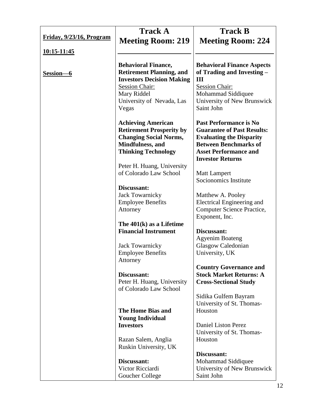|                          | <b>Track A</b>                                                                                                                                                                  | <b>Track B</b>                                                                                                                                                                                   |
|--------------------------|---------------------------------------------------------------------------------------------------------------------------------------------------------------------------------|--------------------------------------------------------------------------------------------------------------------------------------------------------------------------------------------------|
| Friday, 9/23/16, Program | <b>Meeting Room: 219</b>                                                                                                                                                        | <b>Meeting Room: 224</b>                                                                                                                                                                         |
| <u>10:15-11:45</u>       |                                                                                                                                                                                 |                                                                                                                                                                                                  |
| Session-                 | <b>Behavioral Finance,</b><br><b>Retirement Planning, and</b><br><b>Investors Decision Making</b><br><b>Session Chair:</b><br>Mary Riddel<br>University of Nevada, Las<br>Vegas | <b>Behavioral Finance Aspects</b><br>of Trading and Investing -<br>Ш<br><b>Session Chair:</b><br>Mohammad Siddiquee<br>University of New Brunswick<br>Saint John                                 |
|                          | <b>Achieving American</b><br><b>Retirement Prosperity by</b><br><b>Changing Social Norms,</b><br>Mindfulness, and<br><b>Thinking Technology</b>                                 | <b>Past Performance is No</b><br><b>Guarantee of Past Results:</b><br><b>Evaluating the Disparity</b><br><b>Between Benchmarks of</b><br><b>Asset Performance and</b><br><b>Investor Returns</b> |
|                          | Peter H. Huang, University<br>of Colorado Law School                                                                                                                            | <b>Matt Lampert</b><br>Socionomics Institute                                                                                                                                                     |
|                          | Discussant:<br><b>Jack Towarnicky</b><br><b>Employee Benefits</b><br>Attorney                                                                                                   | Matthew A. Pooley<br>Electrical Engineering and<br>Computer Science Practice,<br>Exponent, Inc.                                                                                                  |
|                          | The $401(k)$ as a Lifetime<br><b>Financial Instrument</b>                                                                                                                       | Discussant:                                                                                                                                                                                      |
|                          | <b>Jack Towarnicky</b><br><b>Employee Benefits</b><br>Attorney                                                                                                                  | <b>Agyenim Boateng</b><br>Glasgow Caledonian<br>University, UK                                                                                                                                   |
|                          | Discussant:<br>Peter H. Huang, University<br>of Colorado Law School                                                                                                             | <b>Country Governance and</b><br><b>Stock Market Returns: A</b><br><b>Cross-Sectional Study</b>                                                                                                  |
|                          |                                                                                                                                                                                 | Sidika Gulfem Bayram<br>University of St. Thomas-                                                                                                                                                |
|                          | The Home Bias and<br><b>Young Individual</b>                                                                                                                                    | Houston                                                                                                                                                                                          |
|                          | <b>Investors</b>                                                                                                                                                                | Daniel Liston Perez<br>University of St. Thomas-                                                                                                                                                 |
|                          | Razan Salem, Anglia<br>Ruskin University, UK                                                                                                                                    | Houston                                                                                                                                                                                          |
|                          | Discussant:<br>Victor Ricciardi<br>Goucher College                                                                                                                              | Discussant:<br>Mohammad Siddiquee<br>University of New Brunswick<br>Saint John                                                                                                                   |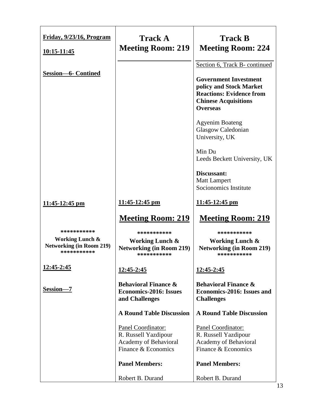| Friday, 9/23/16, Program<br><u>10:15-11:45</u>                               | <b>Track A</b><br><b>Meeting Room: 219</b>                                                 | <b>Track B</b><br><b>Meeting Room: 224</b>                                                                                                                                    |
|------------------------------------------------------------------------------|--------------------------------------------------------------------------------------------|-------------------------------------------------------------------------------------------------------------------------------------------------------------------------------|
| <b>Session-6- Contined</b>                                                   |                                                                                            | Section 6, Track B- continued<br><b>Government Investment</b><br>policy and Stock Market<br><b>Reactions: Evidence from</b><br><b>Chinese Acquisitions</b><br><b>Overseas</b> |
|                                                                              |                                                                                            | <b>Agyenim Boateng</b><br>Glasgow Caledonian<br>University, UK                                                                                                                |
|                                                                              |                                                                                            | Min Du<br>Leeds Beckett University, UK                                                                                                                                        |
|                                                                              |                                                                                            | Discussant:<br><b>Matt Lampert</b><br>Socionomics Institute                                                                                                                   |
| $11:45-12:45$ pm                                                             | $11:45-12:45$ pm                                                                           | 11:45-12:45 pm                                                                                                                                                                |
|                                                                              | <b>Meeting Room: 219</b>                                                                   | <b>Meeting Room: 219</b>                                                                                                                                                      |
| ***********                                                                  | ***********                                                                                | ***********                                                                                                                                                                   |
| <b>Working Lunch &amp;</b><br><b>Networking (in Room 219)</b><br>*********** | <b>Working Lunch &amp;</b><br><b>Networking (in Room 219)</b><br>***********               | <b>Working Lunch &amp;</b><br><b>Networking (in Room 219)</b><br>***********                                                                                                  |
| 12:45-2:45                                                                   | 12:45-2:45                                                                                 | 12:45-2:45                                                                                                                                                                    |
| Session-7                                                                    | <b>Behavioral Finance &amp;</b><br><b>Economics-2016: Issues</b><br>and Challenges         | <b>Behavioral Finance &amp;</b><br><b>Economics-2016: Issues and</b><br><b>Challenges</b>                                                                                     |
|                                                                              | <b>A Round Table Discussion</b>                                                            | <b>A Round Table Discussion</b>                                                                                                                                               |
|                                                                              | Panel Coordinator:<br>R. Russell Yazdipour<br>Academy of Behavioral<br>Finance & Economics | Panel Coordinator:<br>R. Russell Yazdipour<br>Academy of Behavioral<br>Finance & Economics                                                                                    |
|                                                                              | <b>Panel Members:</b>                                                                      | <b>Panel Members:</b>                                                                                                                                                         |
|                                                                              | Robert B. Durand                                                                           | Robert B. Durand                                                                                                                                                              |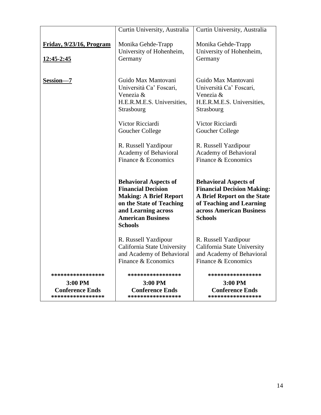|                                                                               | Curtin University, Australia                                                                                                                                                                | Curtin University, Australia                                                                                                                                               |
|-------------------------------------------------------------------------------|---------------------------------------------------------------------------------------------------------------------------------------------------------------------------------------------|----------------------------------------------------------------------------------------------------------------------------------------------------------------------------|
| Friday, 9/23/16, Program<br><u>12:45-2:45</u>                                 | Monika Gehde-Trapp<br>University of Hohenheim,<br>Germany                                                                                                                                   | Monika Gehde-Trapp<br>University of Hohenheim,<br>Germany                                                                                                                  |
| Session-7                                                                     | Guido Max Mantovani<br>Università Ca' Foscari,<br>Venezia &<br>H.E.R.M.E.S. Universities,<br>Strasbourg                                                                                     | Guido Max Mantovani<br>Università Ca' Foscari,<br>Venezia &<br>H.E.R.M.E.S. Universities,<br>Strasbourg                                                                    |
|                                                                               | Victor Ricciardi<br>Goucher College                                                                                                                                                         | Victor Ricciardi<br>Goucher College                                                                                                                                        |
|                                                                               | R. Russell Yazdipour<br><b>Academy of Behavioral</b><br>Finance & Economics                                                                                                                 | R. Russell Yazdipour<br>Academy of Behavioral<br>Finance & Economics                                                                                                       |
|                                                                               | <b>Behavioral Aspects of</b><br><b>Financial Decision</b><br><b>Making: A Brief Report</b><br>on the State of Teaching<br>and Learning across<br><b>American Business</b><br><b>Schools</b> | <b>Behavioral Aspects of</b><br><b>Financial Decision Making:</b><br>A Brief Report on the State<br>of Teaching and Learning<br>across American Business<br><b>Schools</b> |
|                                                                               | R. Russell Yazdipour<br>California State University<br>and Academy of Behavioral<br>Finance & Economics                                                                                     | R. Russell Yazdipour<br>California State University<br>and Academy of Behavioral<br>Finance & Economics                                                                    |
| *****************<br>$3:00$ PM<br><b>Conference Ends</b><br>***************** | ****************<br>3:00 PM<br><b>Conference Ends</b><br>*****************                                                                                                                  | ****************<br>$3:00$ PM<br><b>Conference Ends</b><br>*****************                                                                                               |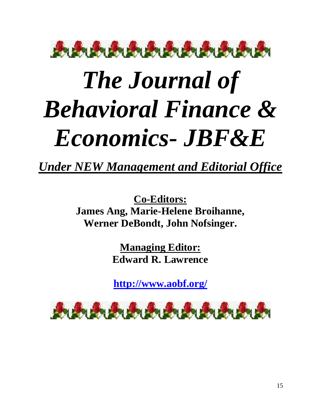

# *The Journal of Behavioral Finance & Economics- JBF&E*

*Under NEW Management and Editorial Office*

**Co-Editors: James Ang, Marie-Helene Broihanne, Werner DeBondt, John Nofsinger.**

> **Managing Editor: Edward R. Lawrence**

> **<http://www.aobf.org/>**